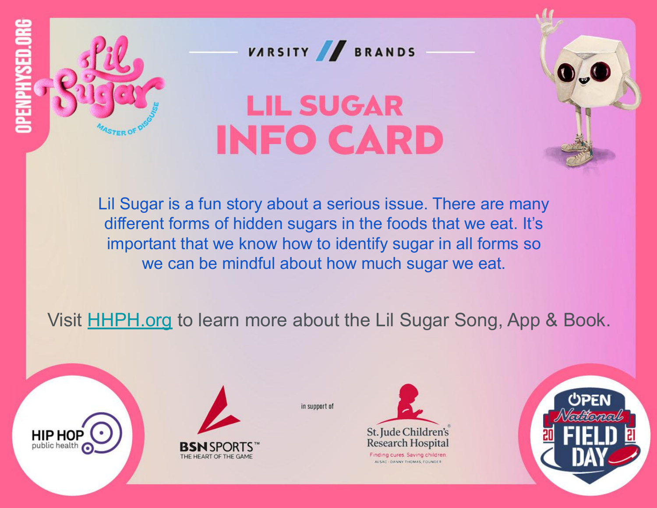

VARSITY BRANDS

### **LIL SUGAR INFO CARD**

Lil Sugar is a fun story about a serious issue. There are many different forms of hidden sugars in the foods that we eat. It's important that we know how to identify sugar in all forms so we can be mindful about how much sugar we eat.

Visit **HHPH.org** to learn more about the Lil Sugar Song, App & Book.





THE HEART OF THE GAME



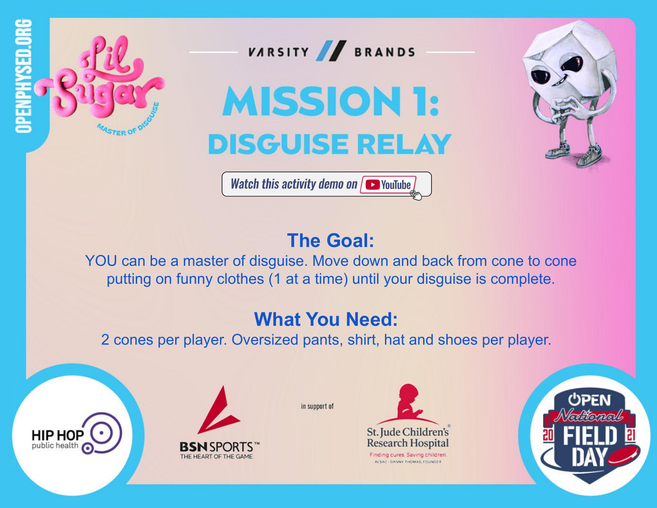



**MISSION 1: DISGUISE RELAY** 



**Watch this activity demo on**  $\sqrt{ }$  YouTube

### **The Goal:**

YOU can be a master of disguise. Move down and back from cone to cone putting on funny clothes (1 at a time) until your disguise is complete.

### **What You Need:**

2 cones per player. Oversized pants, shirt, hat and shoes per player.

in support of





THE HEART OF THE GAME

St. Jude Children's **Research Hospital** Finding cures. Saving children

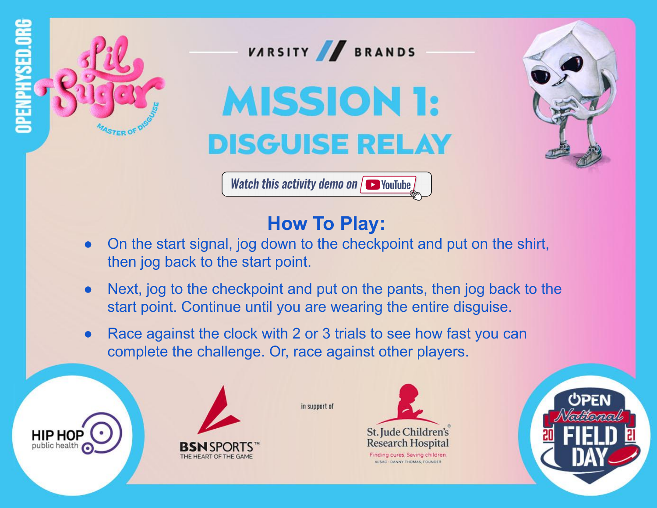

**HIP HOP** 

public health



## **MISSION 1: DISGUISE RELAY**



**Watch this activity demo on**  $\sqrt{ }$  YouTube

### **How To Play:**

- On the start signal, jog down to the checkpoint and put on the shirt, then jog back to the start point.
- Next, jog to the checkpoint and put on the pants, then jog back to the start point. Continue until you are wearing the entire disguise.
- Race against the clock with 2 or 3 trials to see how fast you can complete the challenge. Or, race against other players.





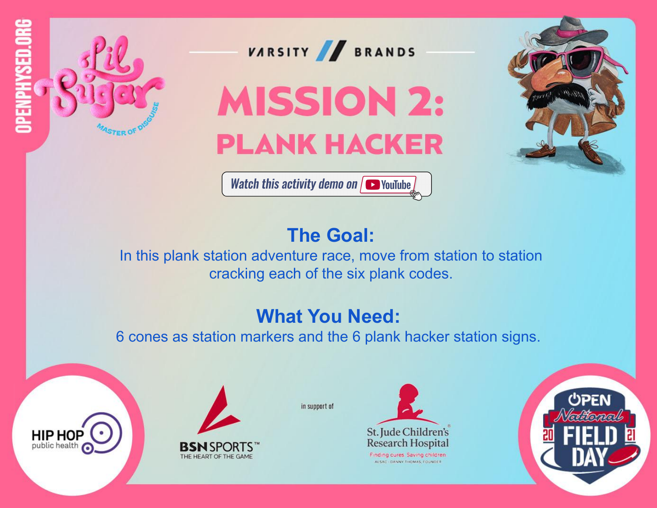

VARSITY BRANDS

## **MISSION 2: PLANK HACKER**



Watch this activity demo on  $\sqrt{\bullet}$  YouTube

### **The Goal:**

In this plank station adventure race, move from station to station cracking each of the six plank codes.

### **What You Need:**

6 cones as station markers and the 6 plank hacker station signs.







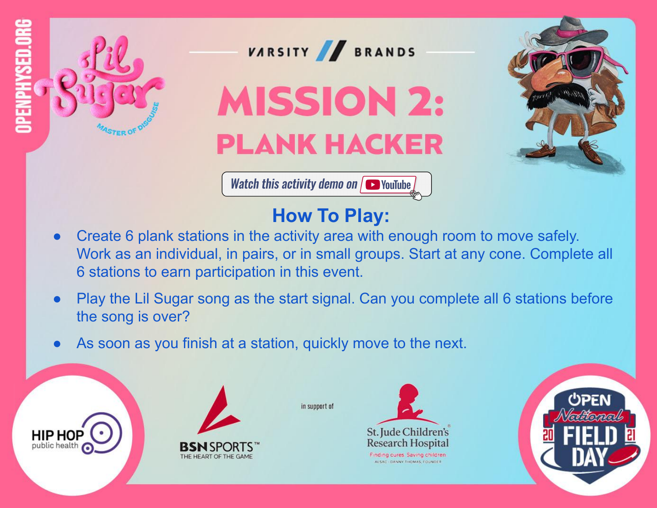

public health



# **MISSION 2: PLANK HACKER**



Watch this activity demo on  $\sqrt{\bullet}$  YouTube

### **How To Play:**

- Create 6 plank stations in the activity area with enough room to move safely. Work as an individual, in pairs, or in small groups. Start at any cone. Complete all 6 stations to earn participation in this event.
- Play the Lil Sugar song as the start signal. Can you complete all 6 stations before the song is over?
- As soon as you finish at a station, quickly move to the next.





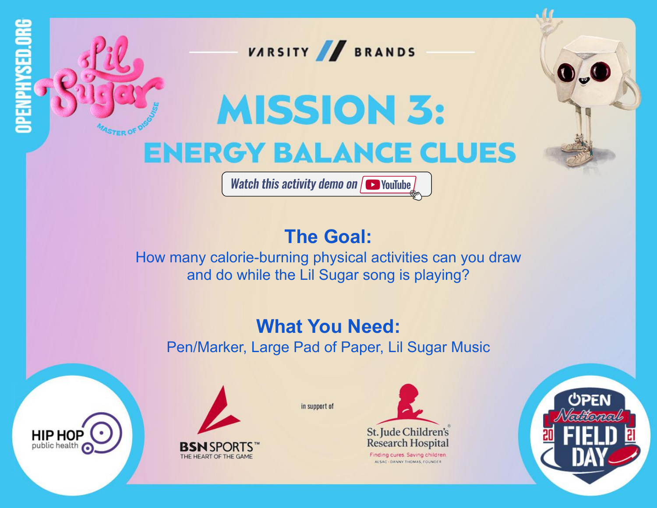

Watch this activity demo on  $\sqrt{\bullet}$  YouTube

### **The Goal:**

How many calorie-burning physical activities can you draw and do while the Lil Sugar song is playing?

#### **What You Need:** Pen/Marker, Large Pad of Paper, Lil Sugar Music

in support of



**HIP HOP** 

public health



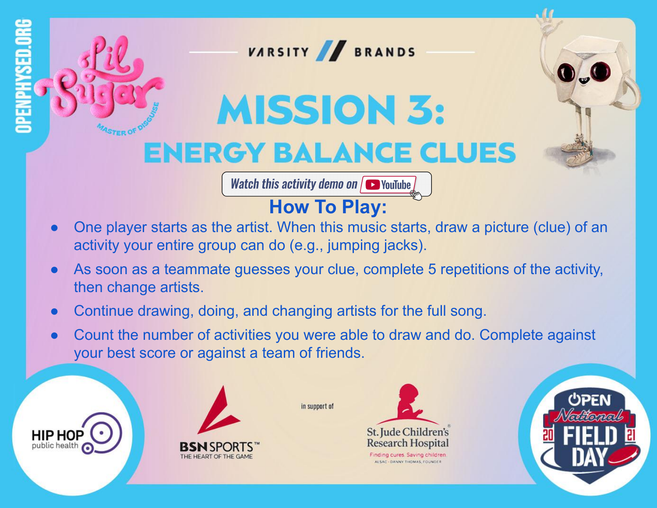

Watch this activity demo on  $\sqrt{\bullet}$  YouTube

### **[How To Play:](https://youtu.be/UnJ7W-8-ANY)**

- One player starts as the artist. When this music starts, draw a picture (clue) of an activity your entire group can do (e.g., jumping jacks).
- As soon as a teammate guesses your clue, complete 5 repetitions of the activity, then change artists.
- Continue drawing, doing, and changing artists for the full song.
- Count the number of activities you were able to draw and do. Complete against your best score or against a team of friends.







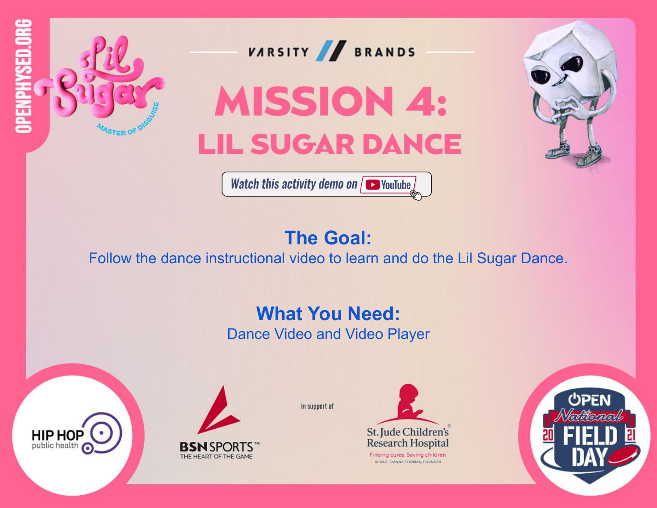

### **The Goal:**

Follow the dance instructional video to learn and do the Lil Sugar Dance.

#### **What You Need:**

Dance Video and Video Player



**HIP HOP** 

public health

in support of

St. Jude Children's **Research Hospital** Finding cures. Saving children

ALSAC - DANNY THOMAS, FOUNDE!